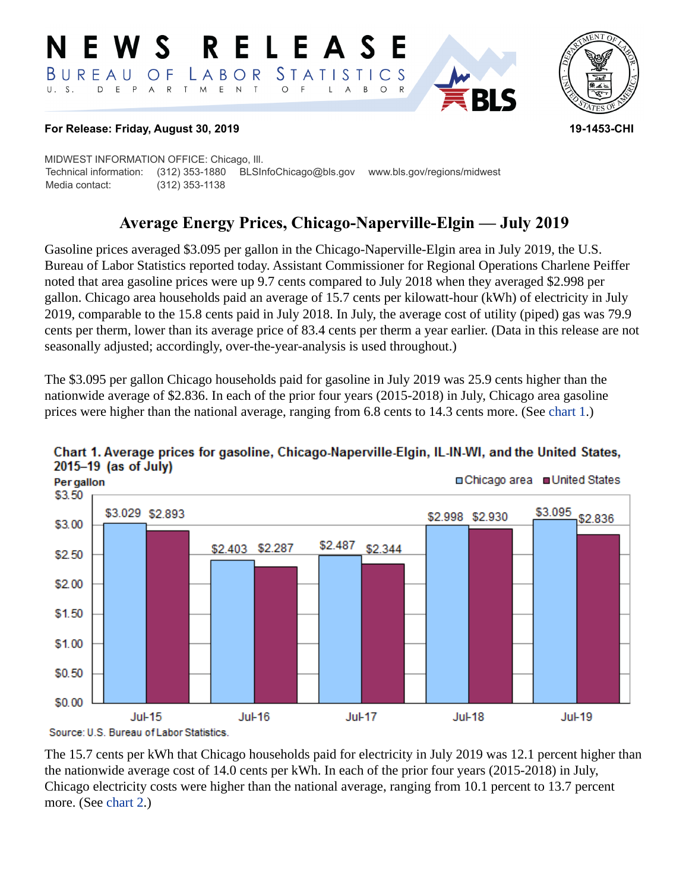#### RELEASE E W S LABOR STATISTICS  $B$  U R E A U O F D E P A R T M E N T  $\circ$  $U. S.$  $\overline{F}$  $\mathsf{L}$  $\overline{A}$  $B$ O R



#### **For Release: Friday, August 30, 2019 19-1453-CHI**

MIDWEST INFORMATION OFFICE: Chicago, Ill. Technical information: (312) 353-1880 BLSInfoChicago@bls.gov www.bls.gov/regions/midwest Media contact: (312) 353-1138

# **Average Energy Prices, Chicago-Naperville-Elgin — July 2019**

Gasoline prices averaged \$3.095 per gallon in the Chicago-Naperville-Elgin area in July 2019, the U.S. Bureau of Labor Statistics reported today. Assistant Commissioner for Regional Operations Charlene Peiffer noted that area gasoline prices were up 9.7 cents compared to July 2018 when they averaged \$2.998 per gallon. Chicago area households paid an average of 15.7 cents per kilowatt-hour (kWh) of electricity in July 2019, comparable to the 15.8 cents paid in July 2018. In July, the average cost of utility (piped) gas was 79.9 cents per therm, lower than its average price of 83.4 cents per therm a year earlier. (Data in this release are not seasonally adjusted; accordingly, over-the-year-analysis is used throughout.)

The \$3.095 per gallon Chicago households paid for gasoline in July 2019 was 25.9 cents higher than the nationwide average of \$2.836. In each of the prior four years (2015-2018) in July, Chicago area gasoline prices were higher than the national average, ranging from 6.8 cents to 14.3 cents more. (See [chart 1.](#page-0-0))



## <span id="page-0-0"></span>Chart 1. Average prices for gasoline, Chicago-Naperville-Elgin, IL-IN-WI, and the United States,  $2015-19$  (as of July)

The 15.7 cents per kWh that Chicago households paid for electricity in July 2019 was 12.1 percent higher than the nationwide average cost of 14.0 cents per kWh. In each of the prior four years (2015-2018) in July, Chicago electricity costs were higher than the national average, ranging from 10.1 percent to 13.7 percent more. (See [chart 2.](#page-1-0))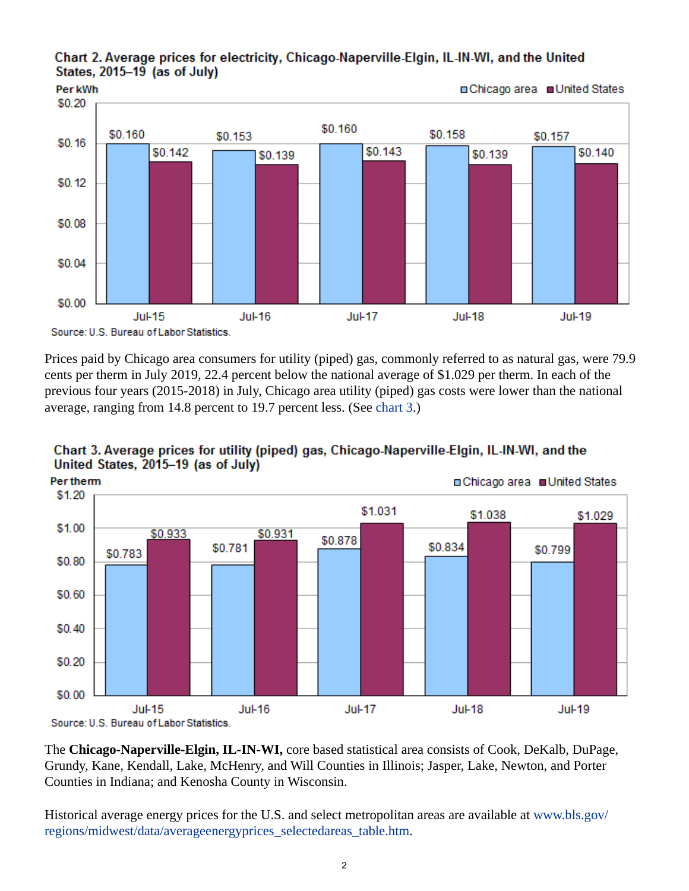#### <span id="page-1-0"></span>Chart 2. Average prices for electricity, Chicago-Naperville-Elgin, IL-IN-WI, and the United States, 2015-19 (as of July)



Prices paid by Chicago area consumers for utility (piped) gas, commonly referred to as natural gas, were 79.9 cents per therm in July 2019, 22.4 percent below the national average of \$1.029 per therm. In each of the previous four years (2015-2018) in July, Chicago area utility (piped) gas costs were lower than the national average, ranging from 14.8 percent to 19.7 percent less. (See [chart 3.](#page-1-1))



# <span id="page-1-1"></span>Chart 3. Average prices for utility (piped) gas, Chicago-Naperville-Elgin, IL-IN-WI, and the United States, 2015-19 (as of July)

The **Chicago-Naperville-Elgin, IL-IN-WI,** core based statistical area consists of Cook, DeKalb, DuPage, Grundy, Kane, Kendall, Lake, McHenry, and Will Counties in Illinois; Jasper, Lake, Newton, and Porter Counties in Indiana; and Kenosha County in Wisconsin.

Historical average energy prices for the U.S. and select metropolitan areas are available at [www.bls.gov/](https://www.bls.gov/regions/midwest/data/averageenergyprices_selectedareas_table.htm) [regions/midwest/data/averageenergyprices\\_selectedareas\\_table.htm.](https://www.bls.gov/regions/midwest/data/averageenergyprices_selectedareas_table.htm)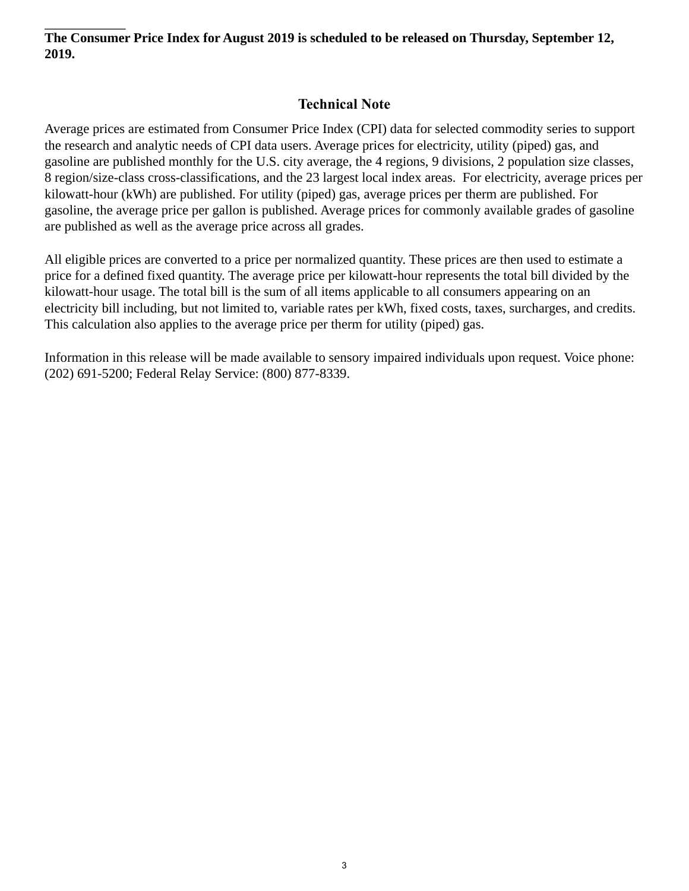### **The Consumer Price Index for August 2019 is scheduled to be released on Thursday, September 12, 2019.**

# **Technical Note**

Average prices are estimated from Consumer Price Index (CPI) data for selected commodity series to support the research and analytic needs of CPI data users. Average prices for electricity, utility (piped) gas, and gasoline are published monthly for the U.S. city average, the 4 regions, 9 divisions, 2 population size classes, 8 region/size-class cross-classifications, and the 23 largest local index areas. For electricity, average prices per kilowatt-hour (kWh) are published. For utility (piped) gas, average prices per therm are published. For gasoline, the average price per gallon is published. Average prices for commonly available grades of gasoline are published as well as the average price across all grades.

All eligible prices are converted to a price per normalized quantity. These prices are then used to estimate a price for a defined fixed quantity. The average price per kilowatt-hour represents the total bill divided by the kilowatt-hour usage. The total bill is the sum of all items applicable to all consumers appearing on an electricity bill including, but not limited to, variable rates per kWh, fixed costs, taxes, surcharges, and credits. This calculation also applies to the average price per therm for utility (piped) gas.

Information in this release will be made available to sensory impaired individuals upon request. Voice phone: (202) 691-5200; Federal Relay Service: (800) 877-8339.